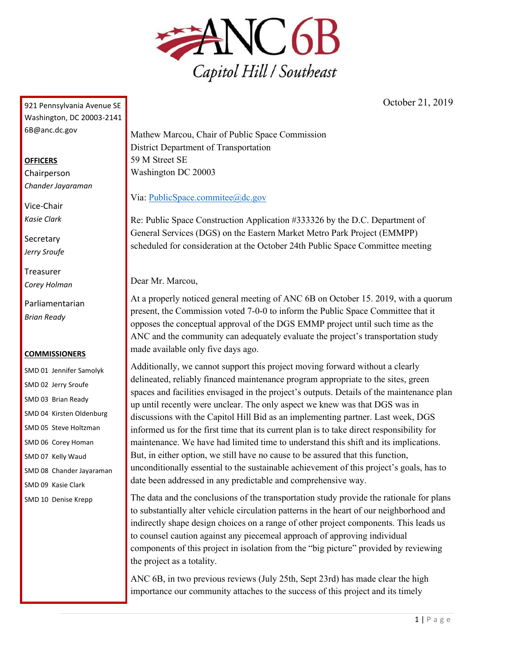

October 21, 2019

921 Pennsylvania Avenue SE Washington, DC 20003-2141 6B@anc.dc.gov

## **OFFICERS**

Chairperson *Chander Jayaraman*

Vice-Chair *Kasie Clark*

**Secretary** *Jerry Sroufe*

Treasurer *Corey Holman*

Parliamentarian *Brian Ready*

## **COMMISSIONERS**

SMD 01 Jennifer Samolyk SMD 02 Jerry Sroufe SMD 03 Brian Ready SMD 04 Kirsten Oldenburg SMD 05 Steve Holtzman SMD 06 Corey Homan SMD 07 Kelly Waud SMD 08 Chander Jayaraman SMD 09 Kasie Clark SMD 10 Denise Krepp

Mathew Marcou, Chair of Public Space Commission District Department of Transportation 59 M Street SE Washington DC 20003

Via: [PublicSpace.commitee@dc.gov](mailto:PublicSpace.commitee@dc.gov)

Re: Public Space Construction Application #333326 by the D.C. Department of General Services (DGS) on the Eastern Market Metro Park Project (EMMPP) scheduled for consideration at the October 24th Public Space Committee meeting

Dear Mr. Marcou,

At a properly noticed general meeting of ANC 6B on October 15. 2019, with a quorum present, the Commission voted 7-0-0 to inform the Public Space Committee that it opposes the conceptual approval of the DGS EMMP project until such time as the ANC and the community can adequately evaluate the project's transportation study made available only five days ago.

Additionally, we cannot support this project moving forward without a clearly delineated, reliably financed maintenance program appropriate to the sites, green spaces and facilities envisaged in the project's outputs. Details of the maintenance plan up until recently were unclear. The only aspect we knew was that DGS was in discussions with the Capitol Hill Bid as an implementing partner. Last week, DGS informed us for the first time that its current plan is to take direct responsibility for maintenance. We have had limited time to understand this shift and its implications. But, in either option, we still have no cause to be assured that this function, unconditionally essential to the sustainable achievement of this project's goals, has to date been addressed in any predictable and comprehensive way.

The data and the conclusions of the transportation study provide the rationale for plans to substantially alter vehicle circulation patterns in the heart of our neighborhood and indirectly shape design choices on a range of other project components. This leads us to counsel caution against any piecemeal approach of approving individual components of this project in isolation from the "big picture" provided by reviewing the project as a totality.

ANC 6B, in two previous reviews (July 25th, Sept 23rd) has made clear the high importance our community attaches to the success of this project and its timely